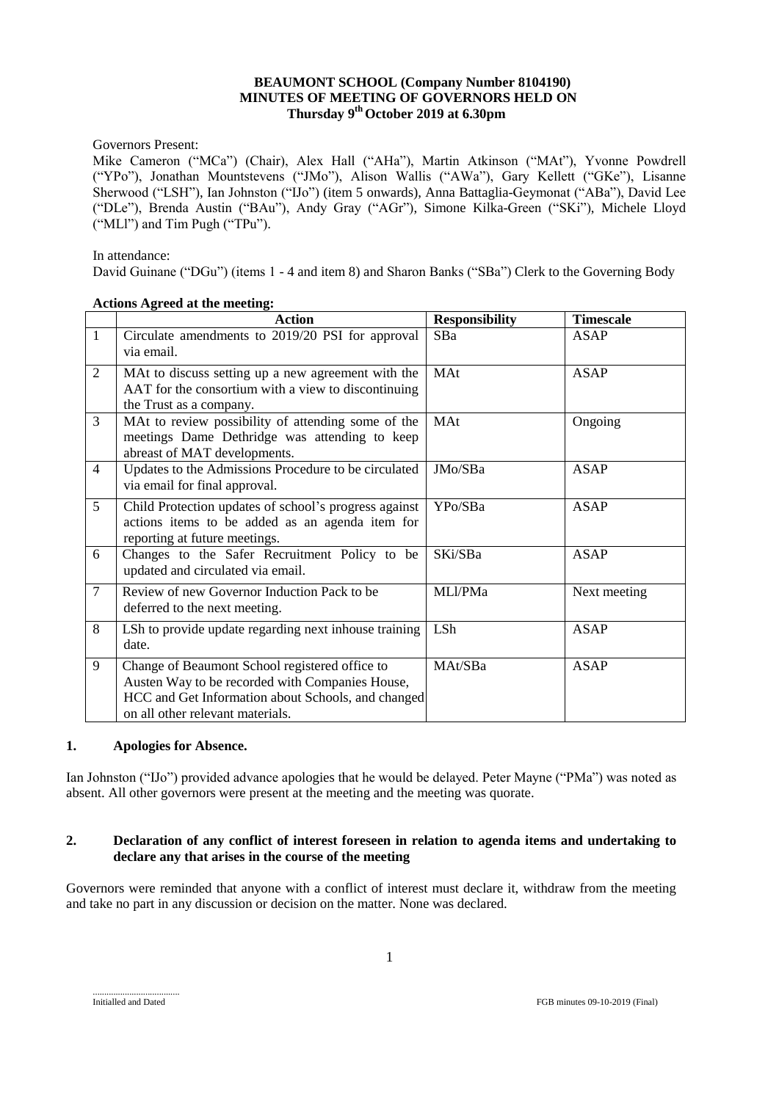## **BEAUMONT SCHOOL (Company Number 8104190) MINUTES OF MEETING OF GOVERNORS HELD ON Thursday 9 th October 2019 at 6.30pm**

Governors Present:

Mike Cameron ("MCa") (Chair), Alex Hall ("AHa"), Martin Atkinson ("MAt"), Yvonne Powdrell ("YPo"), Jonathan Mountstevens ("JMo"), Alison Wallis ("AWa"), Gary Kellett ("GKe"), Lisanne Sherwood ("LSH"), Ian Johnston ("IJo") (item 5 onwards), Anna Battaglia-Geymonat ("ABa"), David Lee ("DLe"), Brenda Austin ("BAu"), Andy Gray ("AGr"), Simone Kilka-Green ("SKi"), Michele Lloyd ("MLl") and Tim Pugh ("TPu").

In attendance:

David Guinane ("DGu") (items 1 - 4 and item 8) and Sharon Banks ("SBa") Clerk to the Governing Body

|                | Action                                                                                                                                                                                      | <b>Responsibility</b> | <b>Timescale</b> |
|----------------|---------------------------------------------------------------------------------------------------------------------------------------------------------------------------------------------|-----------------------|------------------|
| 1              | Circulate amendments to 2019/20 PSI for approval<br>via email.                                                                                                                              | <b>SBa</b>            | ASAP             |
| 2              | MAt to discuss setting up a new agreement with the<br>AAT for the consortium with a view to discontinuing<br>the Trust as a company.                                                        | MAt                   | <b>ASAP</b>      |
| 3              | MAt to review possibility of attending some of the<br>meetings Dame Dethridge was attending to keep<br>abreast of MAT developments.                                                         | MAt                   | Ongoing          |
| $\overline{4}$ | Updates to the Admissions Procedure to be circulated<br>via email for final approval.                                                                                                       | JMo/SBa               | <b>ASAP</b>      |
| 5              | Child Protection updates of school's progress against<br>actions items to be added as an agenda item for<br>reporting at future meetings.                                                   | YPo/SBa               | <b>ASAP</b>      |
| 6              | Changes to the Safer Recruitment Policy to be<br>updated and circulated via email.                                                                                                          | SKi/SBa               | <b>ASAP</b>      |
| 7              | Review of new Governor Induction Pack to be<br>deferred to the next meeting.                                                                                                                | MLl/PMa               | Next meeting     |
| 8              | LSh to provide update regarding next inhouse training<br>date.                                                                                                                              | LSh                   | <b>ASAP</b>      |
| 9              | Change of Beaumont School registered office to<br>Austen Way to be recorded with Companies House,<br>HCC and Get Information about Schools, and changed<br>on all other relevant materials. | MAt/SBa               | <b>ASAP</b>      |

#### **Actions Agreed at the meeting:**

## **1. Apologies for Absence.**

Ian Johnston ("IJo") provided advance apologies that he would be delayed. Peter Mayne ("PMa") was noted as absent. All other governors were present at the meeting and the meeting was quorate.

## **2. Declaration of any conflict of interest foreseen in relation to agenda items and undertaking to declare any that arises in the course of the meeting**

Governors were reminded that anyone with a conflict of interest must declare it, withdraw from the meeting and take no part in any discussion or decision on the matter. None was declared.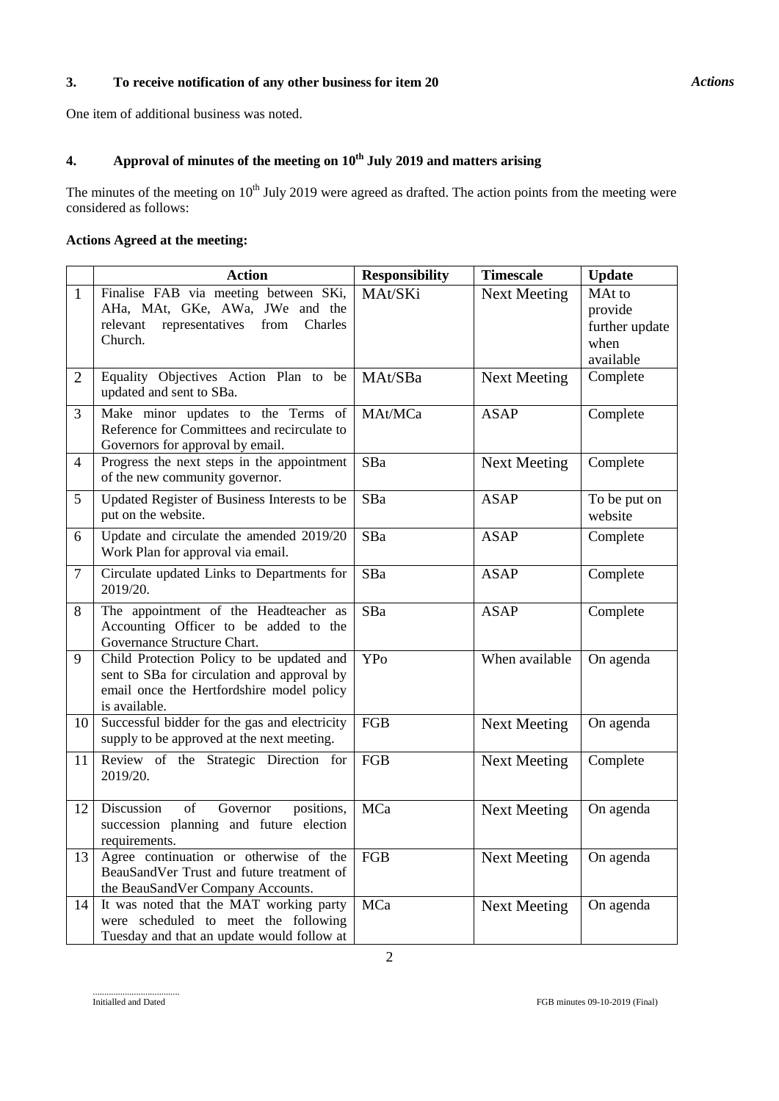# **3. To receive notification of any other business for item 20**

One item of additional business was noted.

# **4. Approval of minutes of the meeting on 10 th July 2019 and matters arising**

The minutes of the meeting on  $10<sup>th</sup>$  July 2019 were agreed as drafted. The action points from the meeting were considered as follows:

# **Actions Agreed at the meeting:**

|                          | <b>Action</b>                                                                                                                                          | <b>Responsibility</b> | <b>Timescale</b>    | <b>Update</b>                                            |
|--------------------------|--------------------------------------------------------------------------------------------------------------------------------------------------------|-----------------------|---------------------|----------------------------------------------------------|
| $\mathbf{1}$             | Finalise FAB via meeting between SKi,<br>AHa, MAt, GKe, AWa, JWe and the<br>relevant<br>representatives<br>from<br>Charles<br>Church.                  | MAt/SKi               | <b>Next Meeting</b> | MAt to<br>provide<br>further update<br>when<br>available |
| $\overline{2}$           | Equality Objectives Action Plan to be<br>updated and sent to SBa.                                                                                      | MAt/SBa               | <b>Next Meeting</b> | Complete                                                 |
| 3                        | Make minor updates to the Terms of<br>Reference for Committees and recirculate to<br>Governors for approval by email.                                  | MAt/MCa               | <b>ASAP</b>         | Complete                                                 |
| $\overline{\mathcal{A}}$ | Progress the next steps in the appointment<br>of the new community governor.                                                                           | SBa                   | <b>Next Meeting</b> | Complete                                                 |
| 5                        | Updated Register of Business Interests to be<br>put on the website.                                                                                    | SBa                   | <b>ASAP</b>         | To be put on<br>website                                  |
| 6                        | Update and circulate the amended 2019/20<br>Work Plan for approval via email.                                                                          | SBa                   | <b>ASAP</b>         | Complete                                                 |
| 7                        | Circulate updated Links to Departments for<br>2019/20.                                                                                                 | SBa                   | <b>ASAP</b>         | Complete                                                 |
| 8                        | The appointment of the Headteacher as<br>Accounting Officer to be added to the<br>Governance Structure Chart.                                          | SBa                   | <b>ASAP</b>         | Complete                                                 |
| 9                        | Child Protection Policy to be updated and<br>sent to SBa for circulation and approval by<br>email once the Hertfordshire model policy<br>is available. | <b>YPo</b>            | When available      | On agenda                                                |
| 10                       | Successful bidder for the gas and electricity<br>supply to be approved at the next meeting.                                                            | FGB                   | <b>Next Meeting</b> | On agenda                                                |
| 11                       | Review of the Strategic Direction for<br>2019/20.                                                                                                      | FGB                   | <b>Next Meeting</b> | Complete                                                 |
| 12                       | of<br>Discussion<br>Governor<br>positions,<br>succession planning and future election<br>requirements.                                                 | MCa                   | <b>Next Meeting</b> | On agenda                                                |
| 13                       | Agree continuation or otherwise of the<br>BeauSandVer Trust and future treatment of<br>the BeauSandVer Company Accounts.                               | FGB                   | <b>Next Meeting</b> | On agenda                                                |
| 14                       | It was noted that the MAT working party<br>were scheduled to meet the following<br>Tuesday and that an update would follow at                          | MCa                   | <b>Next Meeting</b> | On agenda                                                |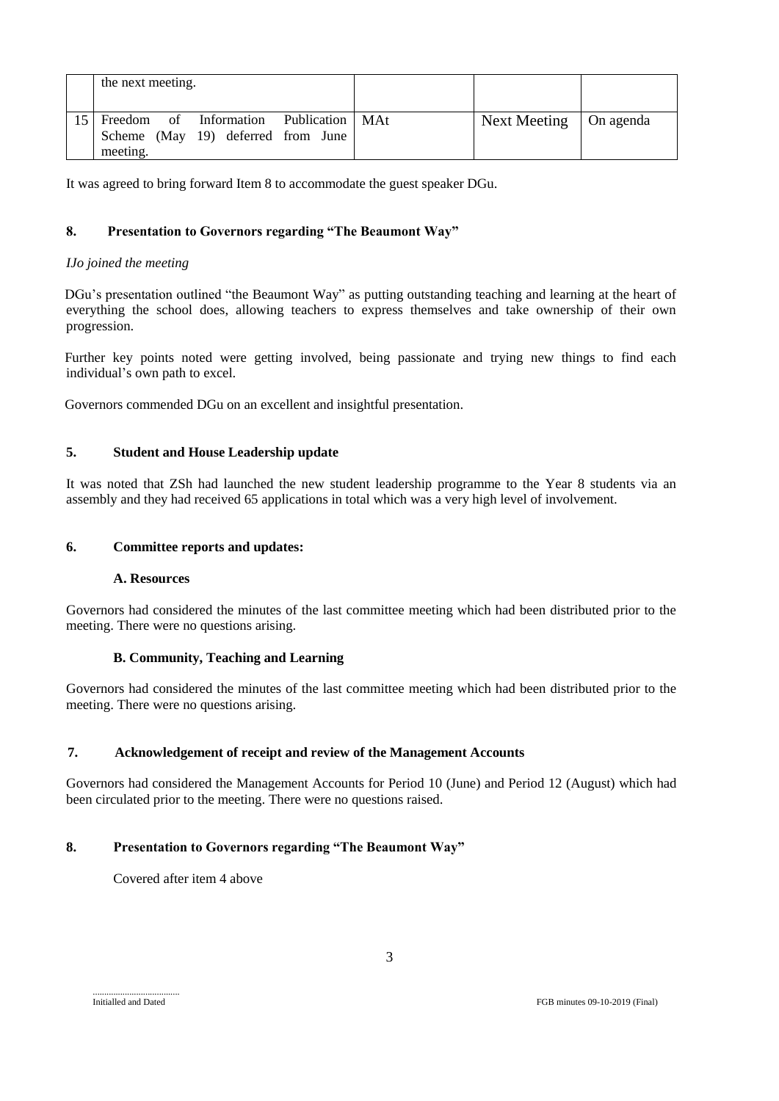|                 | the next meeting.                                                                          |  |                          |  |
|-----------------|--------------------------------------------------------------------------------------------|--|--------------------------|--|
| 15 <sup>1</sup> | Freedom of Information Publication   MAt<br>Scheme (May 19) deferred from June<br>meeting. |  | Next Meeting   On agenda |  |

It was agreed to bring forward Item 8 to accommodate the guest speaker DGu.

# **8. Presentation to Governors regarding "The Beaumont Way"**

## *IJo joined the meeting*

DGu's presentation outlined "the Beaumont Way" as putting outstanding teaching and learning at the heart of everything the school does, allowing teachers to express themselves and take ownership of their own progression.

Further key points noted were getting involved, being passionate and trying new things to find each individual's own path to excel.

Governors commended DGu on an excellent and insightful presentation.

# **5. Student and House Leadership update**

It was noted that ZSh had launched the new student leadership programme to the Year 8 students via an assembly and they had received 65 applications in total which was a very high level of involvement.

## **6. Committee reports and updates:**

# **A. Resources**

Governors had considered the minutes of the last committee meeting which had been distributed prior to the meeting. There were no questions arising.

## **B. Community, Teaching and Learning**

Governors had considered the minutes of the last committee meeting which had been distributed prior to the meeting. There were no questions arising.

## **7. Acknowledgement of receipt and review of the Management Accounts**

Governors had considered the Management Accounts for Period 10 (June) and Period 12 (August) which had been circulated prior to the meeting. There were no questions raised.

# **8. Presentation to Governors regarding "The Beaumont Way"**

Covered after item 4 above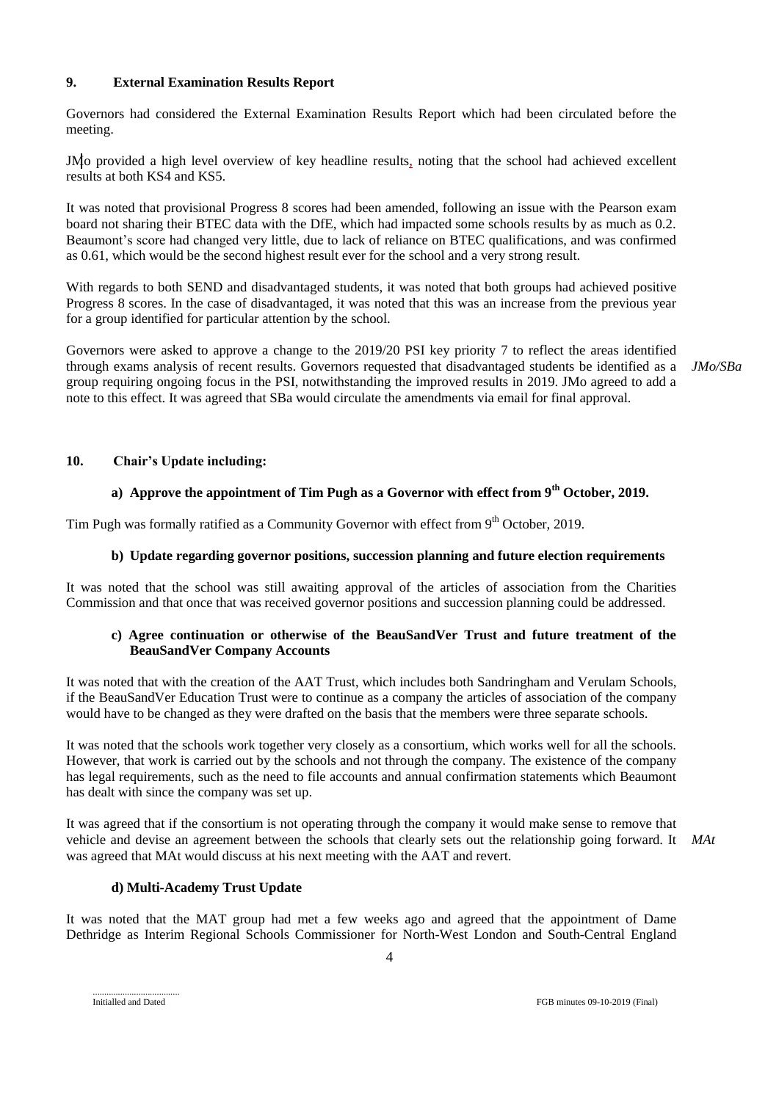## **9. External Examination Results Report**

Governors had considered the External Examination Results Report which had been circulated before the meeting.

JMo provided a high level overview of key headline results, noting that the school had achieved excellent results at both KS4 and KS5.

It was noted that provisional Progress 8 scores had been amended, following an issue with the Pearson exam board not sharing their BTEC data with the DfE, which had impacted some schools results by as much as 0.2. Beaumont's score had changed very little, due to lack of reliance on BTEC qualifications, and was confirmed as 0.61, which would be the second highest result ever for the school and a very strong result.

With regards to both SEND and disadvantaged students, it was noted that both groups had achieved positive Progress 8 scores. In the case of disadvantaged, it was noted that this was an increase from the previous year for a group identified for particular attention by the school.

Governors were asked to approve a change to the 2019/20 PSI key priority 7 to reflect the areas identified through exams analysis of recent results. Governors requested that disadvantaged students be identified as a group requiring ongoing focus in the PSI, notwithstanding the improved results in 2019. JMo agreed to add a note to this effect. It was agreed that SBa would circulate the amendments via email for final approval.

*JMo/SBa*

# **10. Chair's Update including:**

## **a) Approve the appointment of Tim Pugh as a Governor with effect from 9th October, 2019.**

Tim Pugh was formally ratified as a Community Governor with effect from 9<sup>th</sup> October, 2019.

# **b) Update regarding governor positions, succession planning and future election requirements**

It was noted that the school was still awaiting approval of the articles of association from the Charities Commission and that once that was received governor positions and succession planning could be addressed.

#### **c) Agree continuation or otherwise of the BeauSandVer Trust and future treatment of the BeauSandVer Company Accounts**

It was noted that with the creation of the AAT Trust, which includes both Sandringham and Verulam Schools, if the BeauSandVer Education Trust were to continue as a company the articles of association of the company would have to be changed as they were drafted on the basis that the members were three separate schools.

It was noted that the schools work together very closely as a consortium, which works well for all the schools. However, that work is carried out by the schools and not through the company. The existence of the company has legal requirements, such as the need to file accounts and annual confirmation statements which Beaumont has dealt with since the company was set up.

It was agreed that if the consortium is not operating through the company it would make sense to remove that vehicle and devise an agreement between the schools that clearly sets out the relationship going forward. It *MAt*was agreed that MAt would discuss at his next meeting with the AAT and revert.

## **d) Multi-Academy Trust Update**

It was noted that the MAT group had met a few weeks ago and agreed that the appointment of Dame Dethridge as Interim Regional Schools Commissioner for North-West London and South-Central England

Initialled and Dated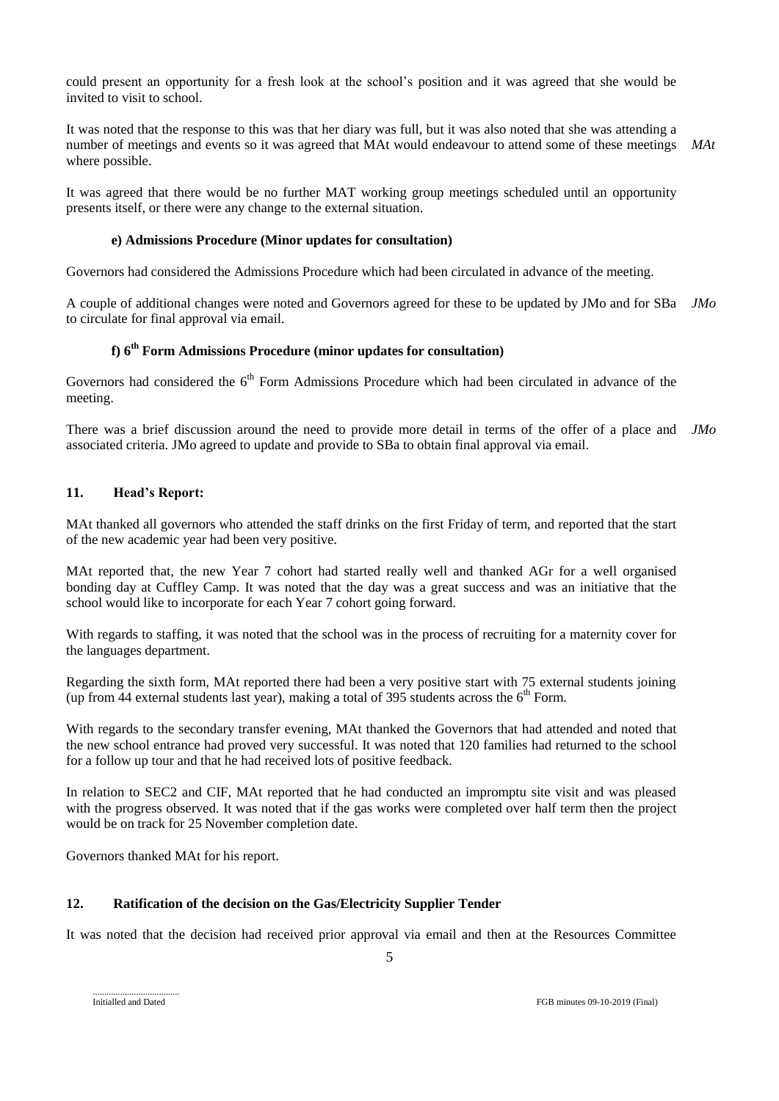could present an opportunity for a fresh look at the school's position and it was agreed that she would be invited to visit to school.

It was noted that the response to this was that her diary was full, but it was also noted that she was attending a number of meetings and events so it was agreed that MAt would endeavour to attend some of these meetings where possible. *MAt*

It was agreed that there would be no further MAT working group meetings scheduled until an opportunity presents itself, or there were any change to the external situation.

#### **e) Admissions Procedure (Minor updates for consultation)**

Governors had considered the Admissions Procedure which had been circulated in advance of the meeting.

A couple of additional changes were noted and Governors agreed for these to be updated by JMo and for SBa *JMo* to circulate for final approval via email.

# **f) 6th Form Admissions Procedure (minor updates for consultation)**

Governors had considered the 6<sup>th</sup> Form Admissions Procedure which had been circulated in advance of the meeting.

There was a brief discussion around the need to provide more detail in terms of the offer of a place and *JMo*associated criteria. JMo agreed to update and provide to SBa to obtain final approval via email.

## **11. Head's Report:**

MAt thanked all governors who attended the staff drinks on the first Friday of term, and reported that the start of the new academic year had been very positive.

MAt reported that, the new Year 7 cohort had started really well and thanked AGr for a well organised bonding day at Cuffley Camp. It was noted that the day was a great success and was an initiative that the school would like to incorporate for each Year 7 cohort going forward.

With regards to staffing, it was noted that the school was in the process of recruiting for a maternity cover for the languages department.

Regarding the sixth form, MAt reported there had been a very positive start with 75 external students joining (up from 44 external students last year), making a total of 395 students across the  $6<sup>th</sup>$  Form.

With regards to the secondary transfer evening, MAt thanked the Governors that had attended and noted that the new school entrance had proved very successful. It was noted that 120 families had returned to the school for a follow up tour and that he had received lots of positive feedback.

In relation to SEC2 and CIF, MAt reported that he had conducted an impromptu site visit and was pleased with the progress observed. It was noted that if the gas works were completed over half term then the project would be on track for 25 November completion date.

Governors thanked MAt for his report.

## **12. Ratification of the decision on the Gas/Electricity Supplier Tender**

It was noted that the decision had received prior approval via email and then at the Resources Committee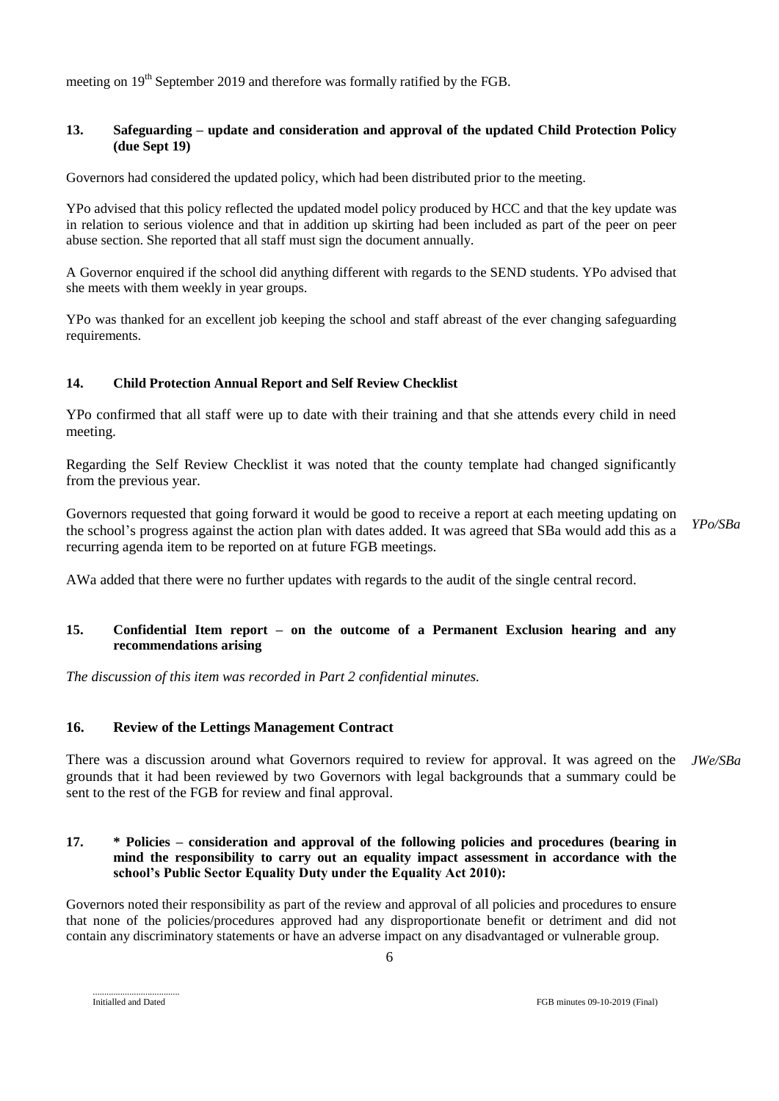meeting on  $19<sup>th</sup>$  September 2019 and therefore was formally ratified by the FGB.

### **13. Safeguarding – update and consideration and approval of the updated Child Protection Policy (due Sept 19)**

Governors had considered the updated policy, which had been distributed prior to the meeting.

YPo advised that this policy reflected the updated model policy produced by HCC and that the key update was in relation to serious violence and that in addition up skirting had been included as part of the peer on peer abuse section. She reported that all staff must sign the document annually.

A Governor enquired if the school did anything different with regards to the SEND students. YPo advised that she meets with them weekly in year groups.

YPo was thanked for an excellent job keeping the school and staff abreast of the ever changing safeguarding requirements.

## **14. Child Protection Annual Report and Self Review Checklist**

YPo confirmed that all staff were up to date with their training and that she attends every child in need meeting.

Regarding the Self Review Checklist it was noted that the county template had changed significantly from the previous year.

Governors requested that going forward it would be good to receive a report at each meeting updating on the school's progress against the action plan with dates added. It was agreed that SBa would add this as a recurring agenda item to be reported on at future FGB meetings. *YPo/SBa*

AWa added that there were no further updates with regards to the audit of the single central record.

## **15. Confidential Item report – on the outcome of a Permanent Exclusion hearing and any recommendations arising**

*The discussion of this item was recorded in Part 2 confidential minutes.*

## **16. Review of the Lettings Management Contract**

There was a discussion around what Governors required to review for approval. It was agreed on the *JWe/SBa*grounds that it had been reviewed by two Governors with legal backgrounds that a summary could be sent to the rest of the FGB for review and final approval.

### **17. \* Policies – consideration and approval of the following policies and procedures (bearing in mind the responsibility to carry out an equality impact assessment in accordance with the school's Public Sector Equality Duty under the Equality Act 2010):**

Governors noted their responsibility as part of the review and approval of all policies and procedures to ensure that none of the policies/procedures approved had any disproportionate benefit or detriment and did not contain any discriminatory statements or have an adverse impact on any disadvantaged or vulnerable group.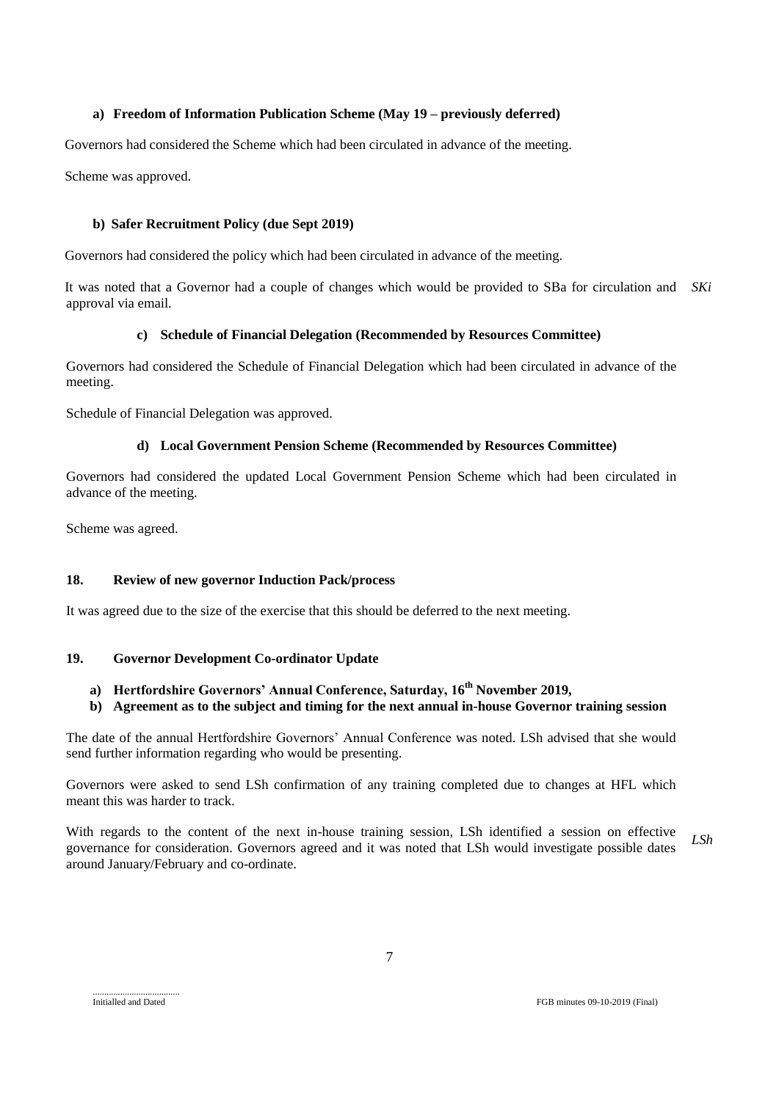## **a) Freedom of Information Publication Scheme (May 19 – previously deferred)**

Governors had considered the Scheme which had been circulated in advance of the meeting.

Scheme was approved.

### **b) Safer Recruitment Policy (due Sept 2019)**

Governors had considered the policy which had been circulated in advance of the meeting.

It was noted that a Governor had a couple of changes which would be provided to SBa for circulation and *SKi* approval via email.

#### **c) Schedule of Financial Delegation (Recommended by Resources Committee)**

Governors had considered the Schedule of Financial Delegation which had been circulated in advance of the meeting.

Schedule of Financial Delegation was approved.

#### **d) Local Government Pension Scheme (Recommended by Resources Committee)**

Governors had considered the updated Local Government Pension Scheme which had been circulated in advance of the meeting.

Scheme was agreed.

# **18. Review of new governor Induction Pack/process**

It was agreed due to the size of the exercise that this should be deferred to the next meeting.

## **19. Governor Development Co-ordinator Update**

# **a) Hertfordshire Governors' Annual Conference, Saturday, 16 th November 2019,**

#### **b) Agreement as to the subject and timing for the next annual in-house Governor training session**

The date of the annual Hertfordshire Governors' Annual Conference was noted. LSh advised that she would send further information regarding who would be presenting.

Governors were asked to send LSh confirmation of any training completed due to changes at HFL which meant this was harder to track.

With regards to the content of the next in-house training session, LSh identified a session on effective governance for consideration. Governors agreed and it was noted that LSh would investigate possible dates around January/February and co-ordinate. *LSh*